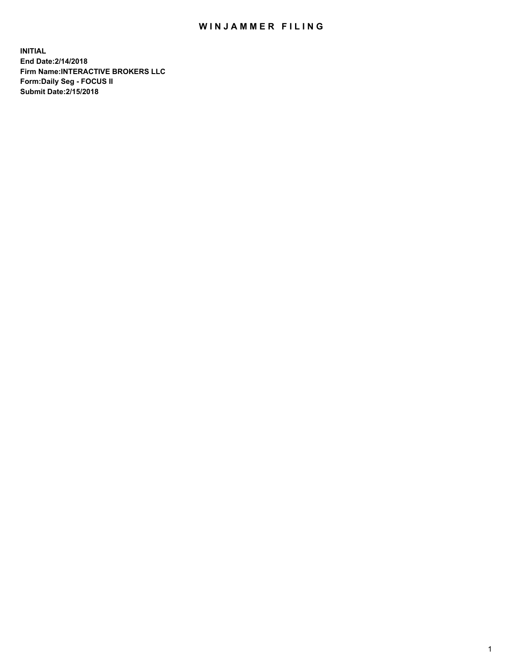## WIN JAMMER FILING

**INITIAL End Date:2/14/2018 Firm Name:INTERACTIVE BROKERS LLC Form:Daily Seg - FOCUS II Submit Date:2/15/2018**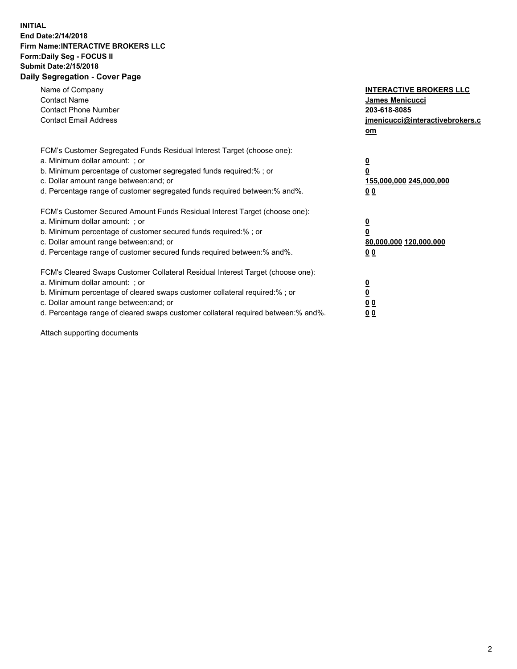## **INITIAL End Date:2/14/2018 Firm Name:INTERACTIVE BROKERS LLC Form:Daily Seg - FOCUS II Submit Date:2/15/2018 Daily Segregation - Cover Page**

| Name of Company<br><b>Contact Name</b><br><b>Contact Phone Number</b>                                                                                                                                                                                                                                                          | <b>INTERACTIVE BROKERS LLC</b><br><b>James Menicucci</b><br>203-618-8085                        |  |
|--------------------------------------------------------------------------------------------------------------------------------------------------------------------------------------------------------------------------------------------------------------------------------------------------------------------------------|-------------------------------------------------------------------------------------------------|--|
| <b>Contact Email Address</b>                                                                                                                                                                                                                                                                                                   | jmenicucci@interactivebrokers.c<br>om                                                           |  |
| FCM's Customer Segregated Funds Residual Interest Target (choose one):<br>a. Minimum dollar amount: ; or<br>b. Minimum percentage of customer segregated funds required:% ; or<br>c. Dollar amount range between: and; or<br>d. Percentage range of customer segregated funds required between:% and%.                         | $\overline{\mathbf{0}}$<br>$\overline{\mathbf{0}}$<br>155,000,000 245,000,000<br>0 <sub>0</sub> |  |
| FCM's Customer Secured Amount Funds Residual Interest Target (choose one):<br>a. Minimum dollar amount: ; or<br>b. Minimum percentage of customer secured funds required:%; or<br>c. Dollar amount range between: and; or<br>d. Percentage range of customer secured funds required between: % and %.                          | $\overline{\mathbf{0}}$<br>$\overline{\mathbf{0}}$<br>80,000,000 120,000,000<br>0 <sub>0</sub>  |  |
| FCM's Cleared Swaps Customer Collateral Residual Interest Target (choose one):<br>a. Minimum dollar amount: ; or<br>b. Minimum percentage of cleared swaps customer collateral required:% ; or<br>c. Dollar amount range between: and; or<br>d. Percentage range of cleared swaps customer collateral required between:% and%. | $\overline{\mathbf{0}}$<br>$\underline{\mathbf{0}}$<br>0 <sub>0</sub><br>0 <sup>0</sup>         |  |

Attach supporting documents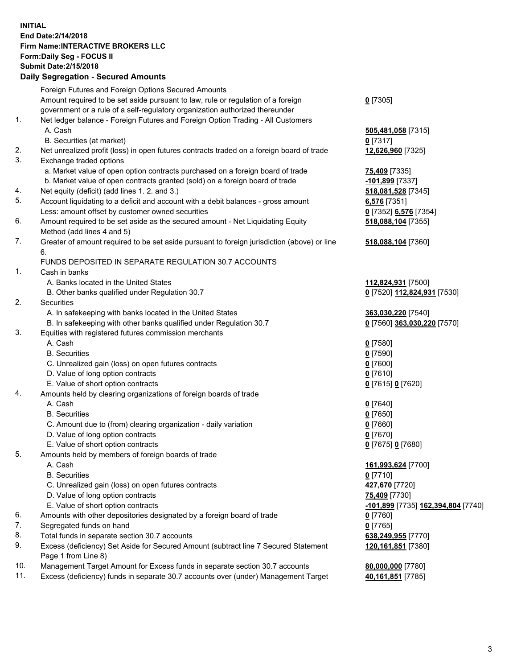## **INITIAL End Date:2/14/2018 Firm Name:INTERACTIVE BROKERS LLC Form:Daily Seg - FOCUS II Submit Date:2/15/2018 Daily Segregation - Secured Amounts**

|                | Daily Jegregation - Jeculed Aniounts                                                        |                                    |
|----------------|---------------------------------------------------------------------------------------------|------------------------------------|
|                | Foreign Futures and Foreign Options Secured Amounts                                         |                                    |
|                | Amount required to be set aside pursuant to law, rule or regulation of a foreign            | $0$ [7305]                         |
|                | government or a rule of a self-regulatory organization authorized thereunder                |                                    |
| 1.             | Net ledger balance - Foreign Futures and Foreign Option Trading - All Customers             |                                    |
|                | A. Cash                                                                                     | 505,481,058 [7315]                 |
|                | B. Securities (at market)                                                                   | $0$ [7317]                         |
| 2.             | Net unrealized profit (loss) in open futures contracts traded on a foreign board of trade   | 12,626,960 [7325]                  |
| 3.             | Exchange traded options                                                                     |                                    |
|                | a. Market value of open option contracts purchased on a foreign board of trade              | 75,409 [7335]                      |
|                | b. Market value of open contracts granted (sold) on a foreign board of trade                | -101,899 [7337]                    |
| 4.             | Net equity (deficit) (add lines 1.2. and 3.)                                                | 518,081,528 [7345]                 |
| 5.             | Account liquidating to a deficit and account with a debit balances - gross amount           | 6,576 [7351]                       |
|                | Less: amount offset by customer owned securities                                            | 0 [7352] 6,576 [7354]              |
| 6.             | Amount required to be set aside as the secured amount - Net Liquidating Equity              | 518,088,104 [7355]                 |
|                | Method (add lines 4 and 5)                                                                  |                                    |
| 7.             | Greater of amount required to be set aside pursuant to foreign jurisdiction (above) or line | 518,088,104 [7360]                 |
|                | 6.                                                                                          |                                    |
|                | FUNDS DEPOSITED IN SEPARATE REGULATION 30.7 ACCOUNTS                                        |                                    |
| $\mathbf{1}$ . | Cash in banks                                                                               |                                    |
|                | A. Banks located in the United States                                                       | 112,824,931 [7500]                 |
|                | B. Other banks qualified under Regulation 30.7                                              | 0 [7520] 112,824,931 [7530]        |
| 2.             | Securities                                                                                  |                                    |
|                | A. In safekeeping with banks located in the United States                                   | 363,030,220 [7540]                 |
|                | B. In safekeeping with other banks qualified under Regulation 30.7                          | 0 [7560] 363,030,220 [7570]        |
| 3.             | Equities with registered futures commission merchants                                       |                                    |
|                | A. Cash                                                                                     | $0$ [7580]                         |
|                | <b>B.</b> Securities                                                                        | $0$ [7590]                         |
|                | C. Unrealized gain (loss) on open futures contracts                                         | $0$ [7600]                         |
|                | D. Value of long option contracts                                                           | $0$ [7610]                         |
|                | E. Value of short option contracts                                                          | 0 [7615] 0 [7620]                  |
| 4.             | Amounts held by clearing organizations of foreign boards of trade                           |                                    |
|                | A. Cash                                                                                     | $0$ [7640]                         |
|                | <b>B.</b> Securities                                                                        | $0$ [7650]                         |
|                | C. Amount due to (from) clearing organization - daily variation                             | $0$ [7660]                         |
|                | D. Value of long option contracts                                                           | $0$ [7670]                         |
|                | E. Value of short option contracts                                                          | 0 [7675] 0 [7680]                  |
| 5.             | Amounts held by members of foreign boards of trade                                          |                                    |
|                | A. Cash                                                                                     | 161,993,624 [7700]                 |
|                | <b>B.</b> Securities                                                                        | $0$ [7710]                         |
|                | C. Unrealized gain (loss) on open futures contracts                                         | 427,670 [7720]                     |
|                | D. Value of long option contracts                                                           | 75,409 [7730]                      |
|                | E. Value of short option contracts                                                          | -101,899 [7735] 162,394,804 [7740] |
| 6.             | Amounts with other depositories designated by a foreign board of trade                      | 0 [7760]                           |
| 7.             | Segregated funds on hand                                                                    | $0$ [7765]                         |
| 8.             | Total funds in separate section 30.7 accounts                                               | 638,249,955 [7770]                 |
| 9.             | Excess (deficiency) Set Aside for Secured Amount (subtract line 7 Secured Statement         | 120, 161, 851 [7380]               |
|                | Page 1 from Line 8)                                                                         |                                    |
| 10.            | Management Target Amount for Excess funds in separate section 30.7 accounts                 | 80,000,000 [7780]                  |
| 11.            | Excess (deficiency) funds in separate 30.7 accounts over (under) Management Target          | 40,161,851 [7785]                  |
|                |                                                                                             |                                    |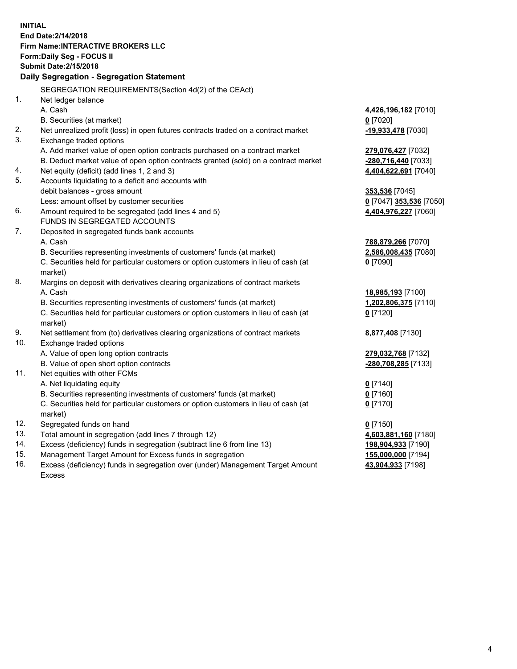**INITIAL End Date:2/14/2018 Firm Name:INTERACTIVE BROKERS LLC Form:Daily Seg - FOCUS II Submit Date:2/15/2018 Daily Segregation - Segregation Statement** SEGREGATION REQUIREMENTS(Section 4d(2) of the CEAct) 1. Net ledger balance A. Cash **4,426,196,182** [7010] B. Securities (at market) **0** [7020] 2. Net unrealized profit (loss) in open futures contracts traded on a contract market **-19,933,478** [7030] 3. Exchange traded options A. Add market value of open option contracts purchased on a contract market **279,076,427** [7032] B. Deduct market value of open option contracts granted (sold) on a contract market **-280,716,440** [7033] 4. Net equity (deficit) (add lines 1, 2 and 3) **4,404,622,691** [7040] 5. Accounts liquidating to a deficit and accounts with debit balances - gross amount **353,536** [7045] Less: amount offset by customer securities **0** [7047] **353,536** [7050] 6. Amount required to be segregated (add lines 4 and 5) **4,404,976,227** [7060] FUNDS IN SEGREGATED ACCOUNTS 7. Deposited in segregated funds bank accounts A. Cash **788,879,266** [7070] B. Securities representing investments of customers' funds (at market) **2,586,008,435** [7080] C. Securities held for particular customers or option customers in lieu of cash (at market) **0** [7090] 8. Margins on deposit with derivatives clearing organizations of contract markets A. Cash **18,985,193** [7100] B. Securities representing investments of customers' funds (at market) **1,202,806,375** [7110] C. Securities held for particular customers or option customers in lieu of cash (at market) **0** [7120] 9. Net settlement from (to) derivatives clearing organizations of contract markets **8,877,408** [7130] 10. Exchange traded options A. Value of open long option contracts **279,032,768** [7132] B. Value of open short option contracts **-280,708,285** [7133] 11. Net equities with other FCMs A. Net liquidating equity **0** [7140] B. Securities representing investments of customers' funds (at market) **0** [7160] C. Securities held for particular customers or option customers in lieu of cash (at market) **0** [7170] 12. Segregated funds on hand **0** [7150] 13. Total amount in segregation (add lines 7 through 12) **4,603,881,160** [7180] 14. Excess (deficiency) funds in segregation (subtract line 6 from line 13) **198,904,933** [7190] 15. Management Target Amount for Excess funds in segregation **155,000,000** [7194]

16. Excess (deficiency) funds in segregation over (under) Management Target Amount Excess

**43,904,933** [7198]